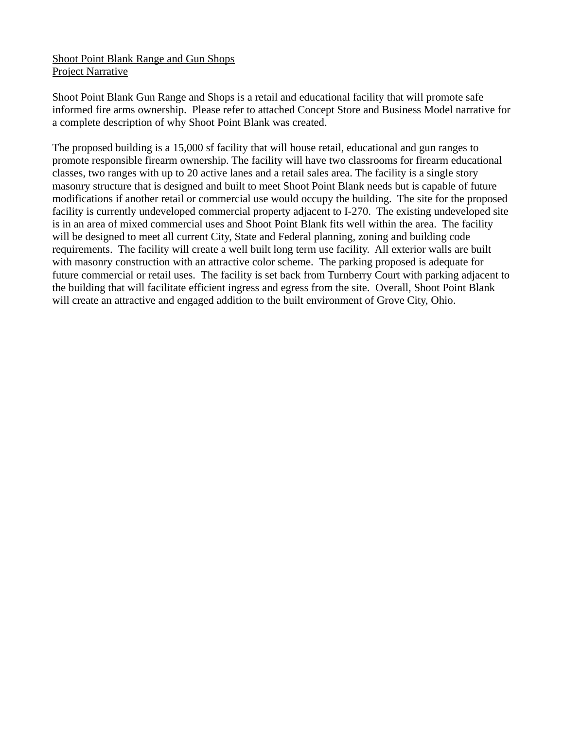## Shoot Point Blank Range and Gun Shops Project Narrative

Shoot Point Blank Gun Range and Shops is a retail and educational facility that will promote safe informed fire arms ownership. Please refer to attached Concept Store and Business Model narrative for a complete description of why Shoot Point Blank was created.

The proposed building is a 15,000 sf facility that will house retail, educational and gun ranges to promote responsible firearm ownership. The facility will have two classrooms for firearm educational classes, two ranges with up to 20 active lanes and a retail sales area. The facility is a single story masonry structure that is designed and built to meet Shoot Point Blank needs but is capable of future modifications if another retail or commercial use would occupy the building. The site for the proposed facility is currently undeveloped commercial property adjacent to I-270. The existing undeveloped site is in an area of mixed commercial uses and Shoot Point Blank fits well within the area. The facility will be designed to meet all current City, State and Federal planning, zoning and building code requirements. The facility will create a well built long term use facility. All exterior walls are built with masonry construction with an attractive color scheme. The parking proposed is adequate for future commercial or retail uses. The facility is set back from Turnberry Court with parking adjacent to the building that will facilitate efficient ingress and egress from the site. Overall, Shoot Point Blank will create an attractive and engaged addition to the built environment of Grove City, Ohio.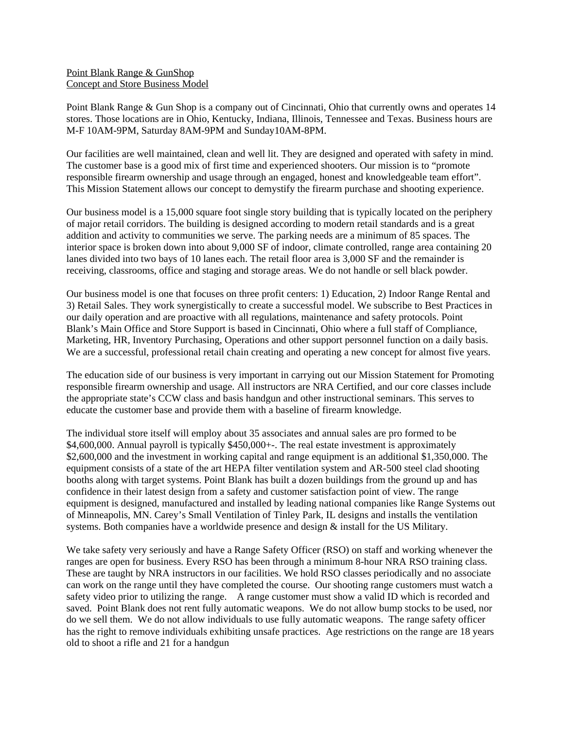## Point Blank Range & GunShop Concept and Store Business Model

Point Blank Range & Gun Shop is a company out of Cincinnati, Ohio that currently owns and operates 14 stores. Those locations are in Ohio, Kentucky, Indiana, Illinois, Tennessee and Texas. Business hours are M-F 10AM-9PM, Saturday 8AM-9PM and Sunday10AM-8PM.

Our facilities are well maintained, clean and well lit. They are designed and operated with safety in mind. The customer base is a good mix of first time and experienced shooters. Our mission is to "promote responsible firearm ownership and usage through an engaged, honest and knowledgeable team effort". This Mission Statement allows our concept to demystify the firearm purchase and shooting experience.

Our business model is a 15,000 square foot single story building that is typically located on the periphery of major retail corridors. The building is designed according to modern retail standards and is a great addition and activity to communities we serve. The parking needs are a minimum of 85 spaces. The interior space is broken down into about 9,000 SF of indoor, climate controlled, range area containing 20 lanes divided into two bays of 10 lanes each. The retail floor area is 3,000 SF and the remainder is receiving, classrooms, office and staging and storage areas. We do not handle or sell black powder.

Our business model is one that focuses on three profit centers: 1) Education, 2) Indoor Range Rental and 3) Retail Sales. They work synergistically to create a successful model. We subscribe to Best Practices in our daily operation and are proactive with all regulations, maintenance and safety protocols. Point Blank's Main Office and Store Support is based in Cincinnati, Ohio where a full staff of Compliance, Marketing, HR, Inventory Purchasing, Operations and other support personnel function on a daily basis. We are a successful, professional retail chain creating and operating a new concept for almost five years.

The education side of our business is very important in carrying out our Mission Statement for Promoting responsible firearm ownership and usage. All instructors are NRA Certified, and our core classes include the appropriate state's CCW class and basis handgun and other instructional seminars. This serves to educate the customer base and provide them with a baseline of firearm knowledge.

The individual store itself will employ about 35 associates and annual sales are pro formed to be \$4,600,000. Annual payroll is typically \$450,000+-. The real estate investment is approximately \$2,600,000 and the investment in working capital and range equipment is an additional \$1,350,000. The equipment consists of a state of the art HEPA filter ventilation system and AR-500 steel clad shooting booths along with target systems. Point Blank has built a dozen buildings from the ground up and has confidence in their latest design from a safety and customer satisfaction point of view. The range equipment is designed, manufactured and installed by leading national companies like Range Systems out of Minneapolis, MN. Carey's Small Ventilation of Tinley Park, IL designs and installs the ventilation systems. Both companies have a worldwide presence and design & install for the US Military.

We take safety very seriously and have a Range Safety Officer (RSO) on staff and working whenever the ranges are open for business. Every RSO has been through a minimum 8-hour NRA RSO training class. These are taught by NRA instructors in our facilities. We hold RSO classes periodically and no associate can work on the range until they have completed the course. Our shooting range customers must watch a safety video prior to utilizing the range. A range customer must show a valid ID which is recorded and saved. Point Blank does not rent fully automatic weapons. We do not allow bump stocks to be used, nor do we sell them. We do not allow individuals to use fully automatic weapons. The range safety officer has the right to remove individuals exhibiting unsafe practices. Age restrictions on the range are 18 years old to shoot a rifle and 21 for a handgun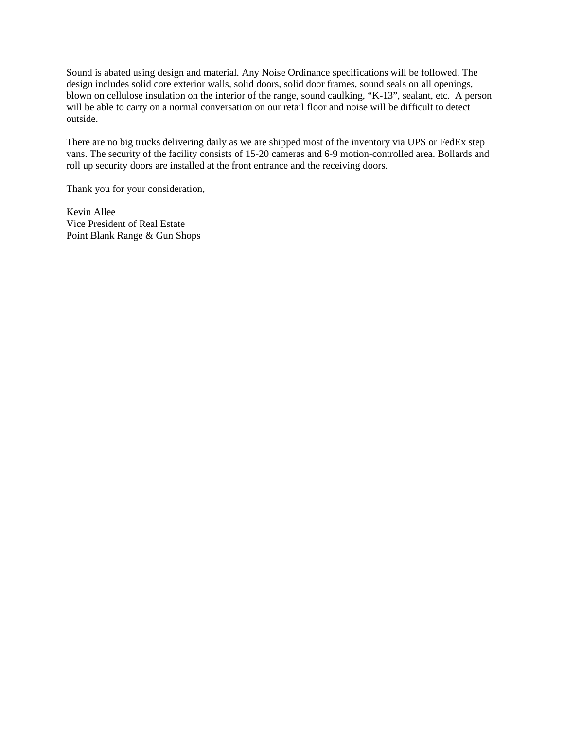Sound is abated using design and material. Any Noise Ordinance specifications will be followed. The design includes solid core exterior walls, solid doors, solid door frames, sound seals on all openings, blown on cellulose insulation on the interior of the range, sound caulking, "K-13", sealant, etc. A person will be able to carry on a normal conversation on our retail floor and noise will be difficult to detect outside.

There are no big trucks delivering daily as we are shipped most of the inventory via UPS or FedEx step vans. The security of the facility consists of 15-20 cameras and 6-9 motion-controlled area. Bollards and roll up security doors are installed at the front entrance and the receiving doors.

Thank you for your consideration,

Kevin Allee Vice President of Real Estate Point Blank Range & Gun Shops